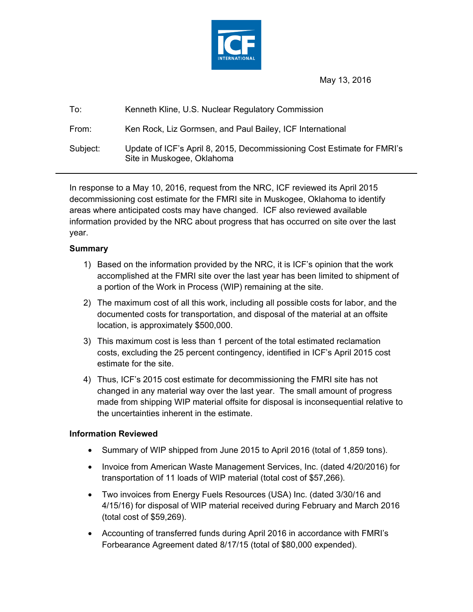

May 13, 2016

| To:      | Kenneth Kline, U.S. Nuclear Regulatory Commission                                                     |
|----------|-------------------------------------------------------------------------------------------------------|
| From:    | Ken Rock, Liz Gormsen, and Paul Bailey, ICF International                                             |
| Subject: | Update of ICF's April 8, 2015, Decommissioning Cost Estimate for FMRI's<br>Site in Muskogee, Oklahoma |

In response to a May 10, 2016, request from the NRC, ICF reviewed its April 2015 decommissioning cost estimate for the FMRI site in Muskogee, Oklahoma to identify areas where anticipated costs may have changed. ICF also reviewed available information provided by the NRC about progress that has occurred on site over the last year.

## **Summary**

- 1) Based on the information provided by the NRC, it is ICF's opinion that the work accomplished at the FMRI site over the last year has been limited to shipment of a portion of the Work in Process (WIP) remaining at the site.
- 2) The maximum cost of all this work, including all possible costs for labor, and the documented costs for transportation, and disposal of the material at an offsite location, is approximately \$500,000.
- 3) This maximum cost is less than 1 percent of the total estimated reclamation costs, excluding the 25 percent contingency, identified in ICF's April 2015 cost estimate for the site.
- 4) Thus, ICF's 2015 cost estimate for decommissioning the FMRI site has not changed in any material way over the last year. The small amount of progress made from shipping WIP material offsite for disposal is inconsequential relative to the uncertainties inherent in the estimate.

## **Information Reviewed**

- Summary of WIP shipped from June 2015 to April 2016 (total of 1,859 tons).
- Invoice from American Waste Management Services, Inc. (dated 4/20/2016) for transportation of 11 loads of WIP material (total cost of \$57,266).
- Two invoices from Energy Fuels Resources (USA) Inc. (dated 3/30/16 and 4/15/16) for disposal of WIP material received during February and March 2016 (total cost of \$59,269).
- Accounting of transferred funds during April 2016 in accordance with FMRI's Forbearance Agreement dated 8/17/15 (total of \$80,000 expended).